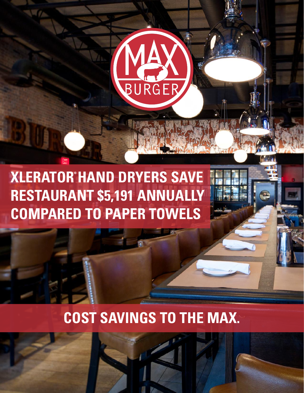

**XLERATOR HAND DRYERS SAVE RESTAURANT \$5,191 ANNUALLY COMPARED TO PAPER TOWELS**

# **COST SAVINGS TO THE MAX.**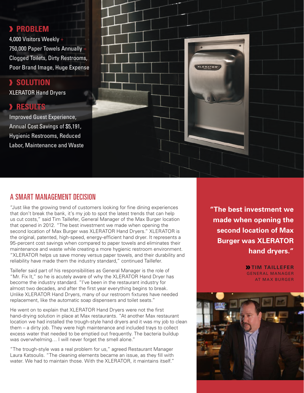## **PROBLEM**

4,000 Visitors Weekly + 750,000 Paper Towels Annually = Clogged Toilets, Dirty Restrooms, Poor Brand Image, Huge Expense

#### **SOLUTION** XLERATOR Hand Dryers

## **RESULTS**

Improved Guest Experience, Annual Cost Savings of \$5,191, Hygienic Restrooms, Reduced Labor, Maintenance and Waste



### A SMART MANAGEMENT DECISION

"Just like the growing trend of customers looking for fine dining experiences that don't break the bank, it's my job to spot the latest trends that can help us cut costs," said Tim Taillefer, General Manager of the Max Burger location that opened in 2012. "The best investment we made when opening the second location of Max Burger was XLERATOR Hand Dryers." XLERATOR is the original, patented, high-speed, energy-efficient hand dryer. It represents a 95-percent cost savings when compared to paper towels and eliminates their maintenance and waste while creating a more hygienic restroom environment. "XLERATOR helps us save money versus paper towels, and their durability and reliability have made them the industry standard," continued Taillefer.

Taillefer said part of his responsibilities as General Manager is the role of "Mr. Fix It," so he is acutely aware of why the XLERATOR Hand Dryer has become the industry standard. "I've been in the restaurant industry for almost two decades, and after the first year everything begins to break. Unlike XLERATOR Hand Dryers, many of our restroom fixtures have needed replacement, like the automatic soap dispensers and toilet seats."

He went on to explain that XLERATOR Hand Dryers were not the first hand-drying solution in place at Max restaurants. "At another Max restaurant location we had installed the trough-style hand dryers and it was my job to clean them – a dirty job. They were high maintenance and included trays to collect excess water that needed to be emptied out frequently. The bacteria buildup was overwhelming… I will never forget the smell alone."

"The trough-style was a real problem for us," agreed Restaurant Manager Laura Katsoulis. "The cleaning elements became an issue, as they fill with water. We had to maintain those. With the XLERATOR, it maintains itself."

**"The best investment we made when opening the second location of Max Burger was XLERATOR hand dryers."**

> **X TIM TAILLEFER GENERAL MANAGER** AT MAX BURGER

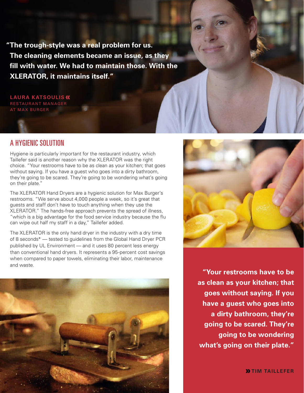**"The trough-style was a real problem for us. The cleaning elements became an issue, as they fill with water. We had to maintain those. With the XLERATOR, it maintains itself."**

**LAURA KATSOULIS** RESTAURANT MANAGER AT MAX BURGER

## A HYGIENIC SOLUTION

Hygiene is particularly important for the restaurant industry, which Taillefer said is another reason why the XLERATOR was the right choice. "Your restrooms have to be as clean as your kitchen; that goes without saying. If you have a guest who goes into a dirty bathroom, they're going to be scared. They're going to be wondering what's going on their plate."

The XLERATOR Hand Dryers are a hygienic solution for Max Burger's restrooms. "We serve about 4,000 people a week, so it's great that guests and staff don't have to touch anything when they use the XLERATOR." The hands-free approach prevents the spread of illness, "which is a big advantage for the food service industry because the flu can wipe out half my staff in a day," Taillefer added.

The XLERATOR is the only hand dryer in the industry with a dry time of 8 seconds\* — tested to guidelines from the Global Hand Dryer PCR published by UL Environment — and it uses 80 percent less energy than conventional hand dryers. It represents a 95-percent cost savings when compared to paper towels, eliminating their labor, maintenance and waste.





**"Your restrooms have to be as clean as your kitchen; that goes without saying. If you have a guest who goes into a dirty bathroom, they're going to be scared. They're going to be wondering what's going on their plate."**

**X**TIM TAILLEFER